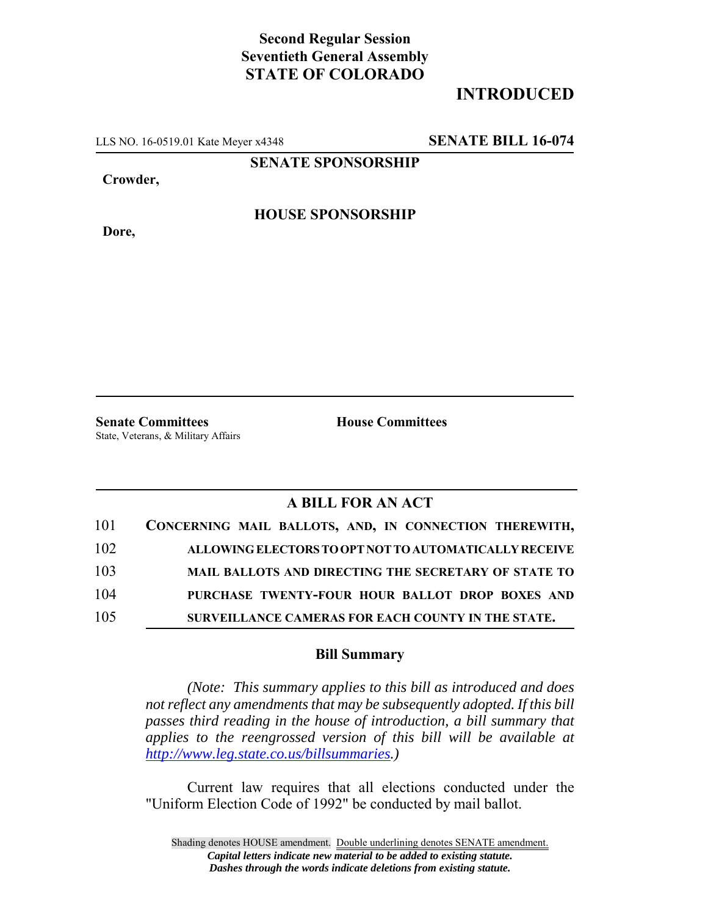## **Second Regular Session Seventieth General Assembly STATE OF COLORADO**

# **INTRODUCED**

LLS NO. 16-0519.01 Kate Meyer x4348 **SENATE BILL 16-074**

**SENATE SPONSORSHIP**

**Crowder,**

**Dore,**

### **HOUSE SPONSORSHIP**

**Senate Committees House Committees** State, Veterans, & Military Affairs

### **A BILL FOR AN ACT**

| 101 | CONCERNING MAIL BALLOTS, AND, IN CONNECTION THEREWITH, |
|-----|--------------------------------------------------------|
| 102 | ALLOWING ELECTORS TO OPT NOT TO AUTOMATICALLY RECEIVE  |
| 103 | MAIL BALLOTS AND DIRECTING THE SECRETARY OF STATE TO   |
| 104 | PURCHASE TWENTY-FOUR HOUR BALLOT DROP BOXES AND        |
| 105 | SURVEILLANCE CAMERAS FOR EACH COUNTY IN THE STATE.     |

#### **Bill Summary**

*(Note: This summary applies to this bill as introduced and does not reflect any amendments that may be subsequently adopted. If this bill passes third reading in the house of introduction, a bill summary that applies to the reengrossed version of this bill will be available at http://www.leg.state.co.us/billsummaries.)*

Current law requires that all elections conducted under the "Uniform Election Code of 1992" be conducted by mail ballot.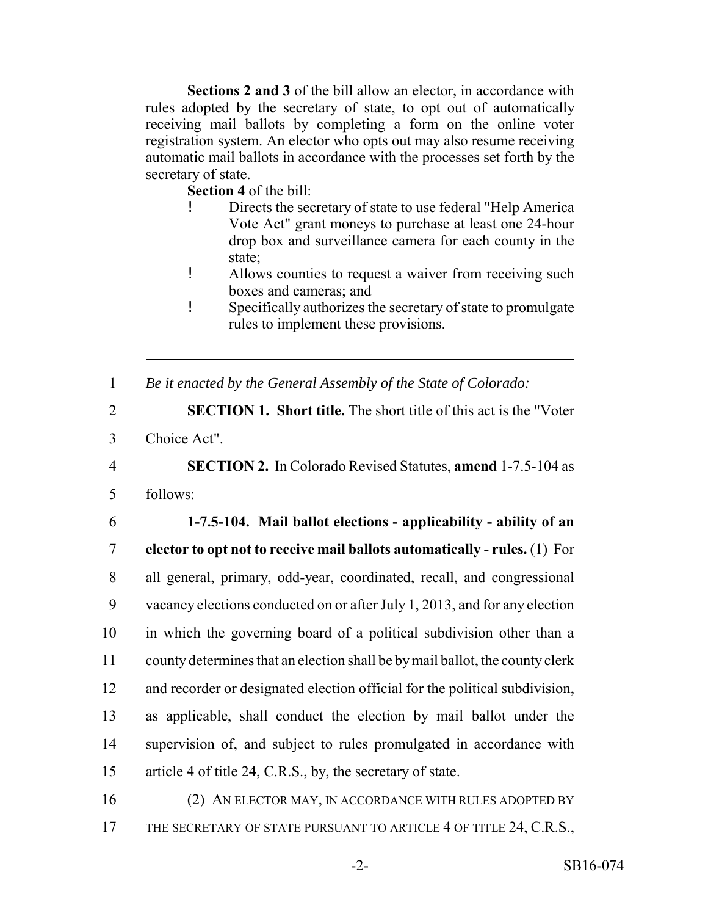**Sections 2 and 3** of the bill allow an elector, in accordance with rules adopted by the secretary of state, to opt out of automatically receiving mail ballots by completing a form on the online voter registration system. An elector who opts out may also resume receiving automatic mail ballots in accordance with the processes set forth by the secretary of state.

**Section 4** of the bill:

- ! Directs the secretary of state to use federal "Help America Vote Act" grant moneys to purchase at least one 24-hour drop box and surveillance camera for each county in the state;
- ! Allows counties to request a waiver from receiving such boxes and cameras; and
- ! Specifically authorizes the secretary of state to promulgate rules to implement these provisions.

1 *Be it enacted by the General Assembly of the State of Colorado:*

2 **SECTION 1. Short title.** The short title of this act is the "Voter 3 Choice Act".

4 **SECTION 2.** In Colorado Revised Statutes, **amend** 1-7.5-104 as

5 follows:

 **1-7.5-104. Mail ballot elections - applicability - ability of an elector to opt not to receive mail ballots automatically - rules.** (1) For all general, primary, odd-year, coordinated, recall, and congressional vacancy elections conducted on or after July 1, 2013, and for any election in which the governing board of a political subdivision other than a county determines that an election shall be by mail ballot, the county clerk and recorder or designated election official for the political subdivision, as applicable, shall conduct the election by mail ballot under the supervision of, and subject to rules promulgated in accordance with article 4 of title 24, C.R.S., by, the secretary of state.

16 (2) AN ELECTOR MAY, IN ACCORDANCE WITH RULES ADOPTED BY 17 THE SECRETARY OF STATE PURSUANT TO ARTICLE 4 OF TITLE 24, C.R.S.,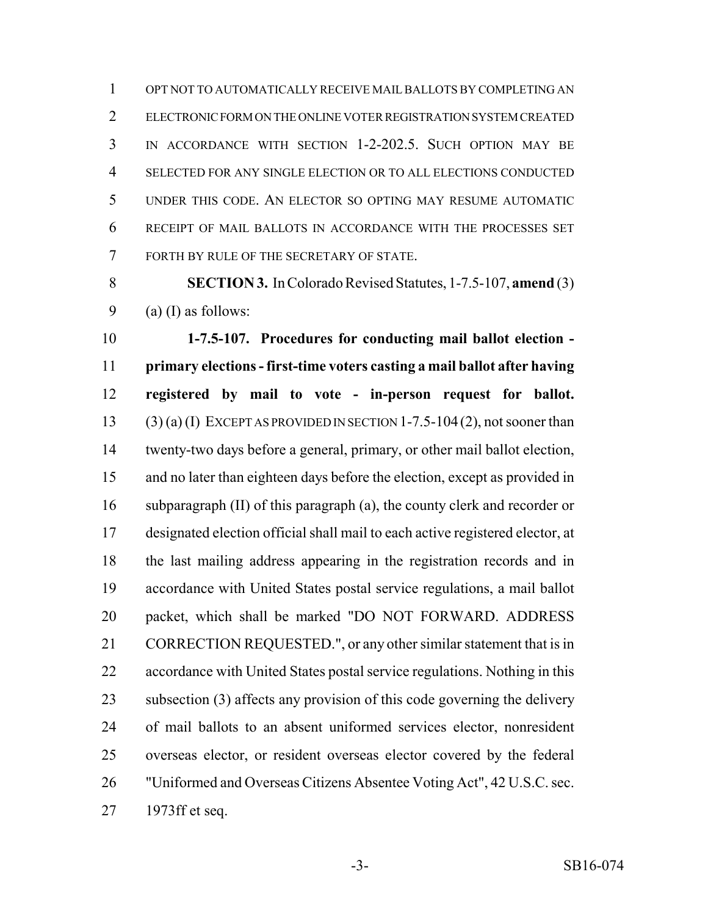OPT NOT TO AUTOMATICALLY RECEIVE MAIL BALLOTS BY COMPLETING AN ELECTRONIC FORM ON THE ONLINE VOTER REGISTRATION SYSTEM CREATED IN ACCORDANCE WITH SECTION 1-2-202.5. SUCH OPTION MAY BE SELECTED FOR ANY SINGLE ELECTION OR TO ALL ELECTIONS CONDUCTED UNDER THIS CODE. AN ELECTOR SO OPTING MAY RESUME AUTOMATIC RECEIPT OF MAIL BALLOTS IN ACCORDANCE WITH THE PROCESSES SET FORTH BY RULE OF THE SECRETARY OF STATE.

 **SECTION 3.** In Colorado Revised Statutes, 1-7.5-107, **amend** (3) 9 (a) (I) as follows:

 **1-7.5-107. Procedures for conducting mail ballot election - primary elections - first-time voters casting a mail ballot after having registered by mail to vote - in-person request for ballot.** 13 (3) (a) (I) EXCEPT AS PROVIDED IN SECTION 1-7.5-104 (2), not sooner than twenty-two days before a general, primary, or other mail ballot election, and no later than eighteen days before the election, except as provided in subparagraph (II) of this paragraph (a), the county clerk and recorder or designated election official shall mail to each active registered elector, at the last mailing address appearing in the registration records and in accordance with United States postal service regulations, a mail ballot packet, which shall be marked "DO NOT FORWARD. ADDRESS 21 CORRECTION REQUESTED.", or any other similar statement that is in accordance with United States postal service regulations. Nothing in this subsection (3) affects any provision of this code governing the delivery of mail ballots to an absent uniformed services elector, nonresident overseas elector, or resident overseas elector covered by the federal "Uniformed and Overseas Citizens Absentee Voting Act", 42 U.S.C. sec. 1973ff et seq.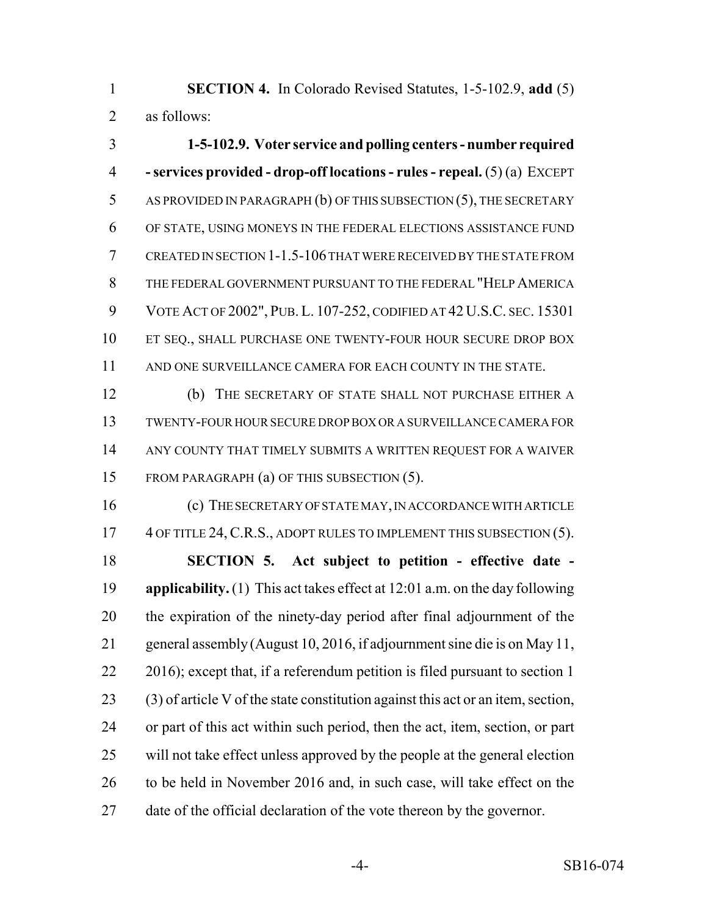**SECTION 4.** In Colorado Revised Statutes, 1-5-102.9, **add** (5) as follows:

 **1-5-102.9. Voter service and polling centers - number required - services provided - drop-off locations - rules - repeal.** (5) (a) EXCEPT AS PROVIDED IN PARAGRAPH (b) OF THIS SUBSECTION (5), THE SECRETARY OF STATE, USING MONEYS IN THE FEDERAL ELECTIONS ASSISTANCE FUND CREATED IN SECTION 1-1.5-106 THAT WERE RECEIVED BY THE STATE FROM THE FEDERAL GOVERNMENT PURSUANT TO THE FEDERAL "HELP AMERICA VOTE ACT OF 2002", PUB. L. 107-252, CODIFIED AT 42 U.S.C. SEC. 15301 10 ET SEQ., SHALL PURCHASE ONE TWENTY-FOUR HOUR SECURE DROP BOX AND ONE SURVEILLANCE CAMERA FOR EACH COUNTY IN THE STATE.

 (b) THE SECRETARY OF STATE SHALL NOT PURCHASE EITHER A TWENTY-FOUR HOUR SECURE DROP BOX OR A SURVEILLANCE CAMERA FOR ANY COUNTY THAT TIMELY SUBMITS A WRITTEN REQUEST FOR A WAIVER FROM PARAGRAPH (a) OF THIS SUBSECTION (5).

 (c) THE SECRETARY OF STATE MAY, IN ACCORDANCE WITH ARTICLE 17 4 OF TITLE 24, C.R.S., ADOPT RULES TO IMPLEMENT THIS SUBSECTION (5).

 **SECTION 5. Act subject to petition - effective date - applicability.** (1) This act takes effect at 12:01 a.m. on the day following the expiration of the ninety-day period after final adjournment of the general assembly (August 10, 2016, if adjournment sine die is on May 11, 22 2016); except that, if a referendum petition is filed pursuant to section 1 (3) of article V of the state constitution against this act or an item, section, or part of this act within such period, then the act, item, section, or part will not take effect unless approved by the people at the general election to be held in November 2016 and, in such case, will take effect on the date of the official declaration of the vote thereon by the governor.